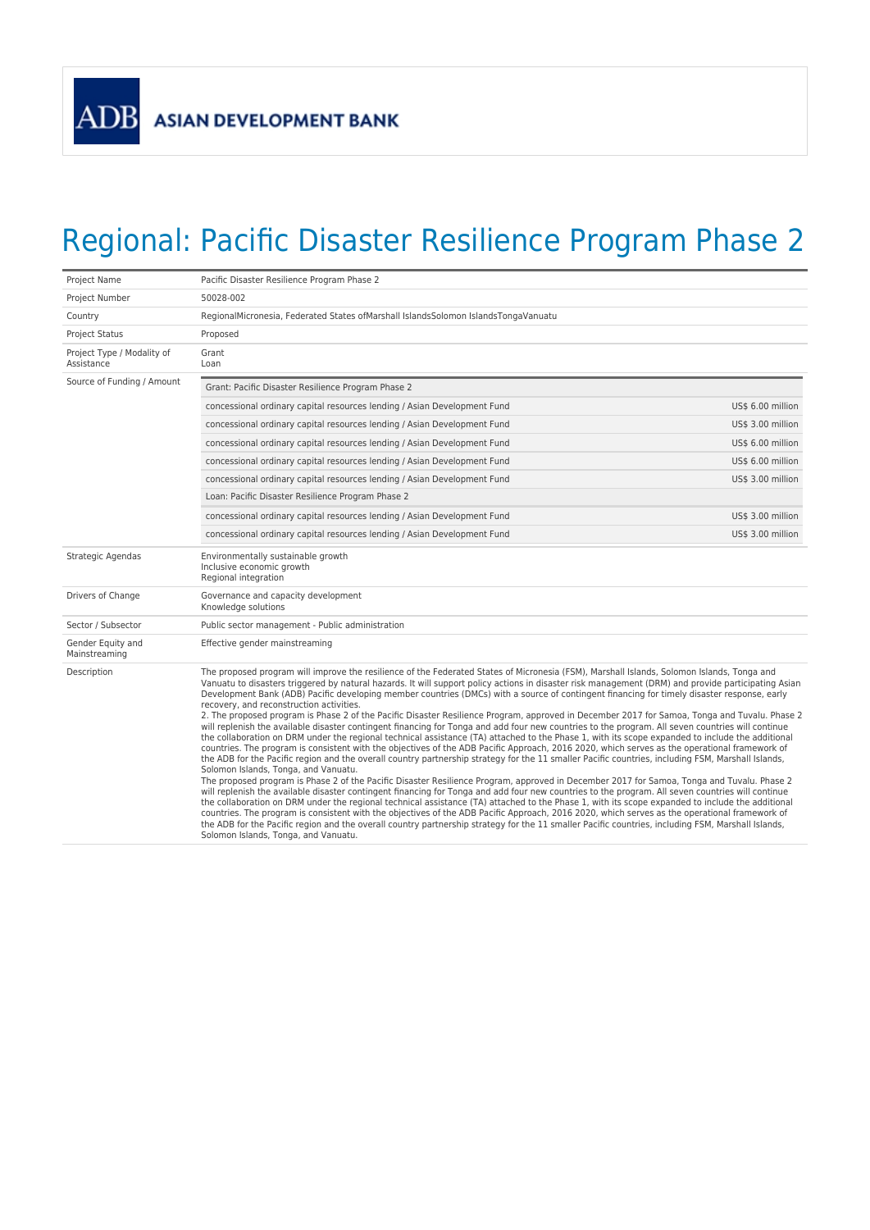

## Regional: Pacific Disaster Resilience Program Phase 2

| Project Name                             | Pacific Disaster Resilience Program Phase 2                                                                                                                                                                                                                                                                                                                                                                                                                                                                                                                                                                                                                                                                                                                                                                                                                                                                                                                                                                                                                                                                                                                                                                                                                                                                                                                                                                                                                                                                                                                                                                                                                                                                                                                                                                                                                                                                                                                                                                                                                                                                 |                   |
|------------------------------------------|-------------------------------------------------------------------------------------------------------------------------------------------------------------------------------------------------------------------------------------------------------------------------------------------------------------------------------------------------------------------------------------------------------------------------------------------------------------------------------------------------------------------------------------------------------------------------------------------------------------------------------------------------------------------------------------------------------------------------------------------------------------------------------------------------------------------------------------------------------------------------------------------------------------------------------------------------------------------------------------------------------------------------------------------------------------------------------------------------------------------------------------------------------------------------------------------------------------------------------------------------------------------------------------------------------------------------------------------------------------------------------------------------------------------------------------------------------------------------------------------------------------------------------------------------------------------------------------------------------------------------------------------------------------------------------------------------------------------------------------------------------------------------------------------------------------------------------------------------------------------------------------------------------------------------------------------------------------------------------------------------------------------------------------------------------------------------------------------------------------|-------------------|
| Project Number                           | 50028-002                                                                                                                                                                                                                                                                                                                                                                                                                                                                                                                                                                                                                                                                                                                                                                                                                                                                                                                                                                                                                                                                                                                                                                                                                                                                                                                                                                                                                                                                                                                                                                                                                                                                                                                                                                                                                                                                                                                                                                                                                                                                                                   |                   |
| Country                                  | RegionalMicronesia, Federated States of Marshall Islands Solomon Islands Tonga Vanuatu                                                                                                                                                                                                                                                                                                                                                                                                                                                                                                                                                                                                                                                                                                                                                                                                                                                                                                                                                                                                                                                                                                                                                                                                                                                                                                                                                                                                                                                                                                                                                                                                                                                                                                                                                                                                                                                                                                                                                                                                                      |                   |
| <b>Project Status</b>                    | Proposed                                                                                                                                                                                                                                                                                                                                                                                                                                                                                                                                                                                                                                                                                                                                                                                                                                                                                                                                                                                                                                                                                                                                                                                                                                                                                                                                                                                                                                                                                                                                                                                                                                                                                                                                                                                                                                                                                                                                                                                                                                                                                                    |                   |
| Project Type / Modality of<br>Assistance | Grant<br>Loan                                                                                                                                                                                                                                                                                                                                                                                                                                                                                                                                                                                                                                                                                                                                                                                                                                                                                                                                                                                                                                                                                                                                                                                                                                                                                                                                                                                                                                                                                                                                                                                                                                                                                                                                                                                                                                                                                                                                                                                                                                                                                               |                   |
| Source of Funding / Amount               | Grant: Pacific Disaster Resilience Program Phase 2                                                                                                                                                                                                                                                                                                                                                                                                                                                                                                                                                                                                                                                                                                                                                                                                                                                                                                                                                                                                                                                                                                                                                                                                                                                                                                                                                                                                                                                                                                                                                                                                                                                                                                                                                                                                                                                                                                                                                                                                                                                          |                   |
|                                          | concessional ordinary capital resources lending / Asian Development Fund                                                                                                                                                                                                                                                                                                                                                                                                                                                                                                                                                                                                                                                                                                                                                                                                                                                                                                                                                                                                                                                                                                                                                                                                                                                                                                                                                                                                                                                                                                                                                                                                                                                                                                                                                                                                                                                                                                                                                                                                                                    | US\$ 6.00 million |
|                                          | concessional ordinary capital resources lending / Asian Development Fund                                                                                                                                                                                                                                                                                                                                                                                                                                                                                                                                                                                                                                                                                                                                                                                                                                                                                                                                                                                                                                                                                                                                                                                                                                                                                                                                                                                                                                                                                                                                                                                                                                                                                                                                                                                                                                                                                                                                                                                                                                    | US\$ 3.00 million |
|                                          | concessional ordinary capital resources lending / Asian Development Fund                                                                                                                                                                                                                                                                                                                                                                                                                                                                                                                                                                                                                                                                                                                                                                                                                                                                                                                                                                                                                                                                                                                                                                                                                                                                                                                                                                                                                                                                                                                                                                                                                                                                                                                                                                                                                                                                                                                                                                                                                                    | US\$ 6.00 million |
|                                          | concessional ordinary capital resources lending / Asian Development Fund                                                                                                                                                                                                                                                                                                                                                                                                                                                                                                                                                                                                                                                                                                                                                                                                                                                                                                                                                                                                                                                                                                                                                                                                                                                                                                                                                                                                                                                                                                                                                                                                                                                                                                                                                                                                                                                                                                                                                                                                                                    | US\$ 6.00 million |
|                                          | concessional ordinary capital resources lending / Asian Development Fund                                                                                                                                                                                                                                                                                                                                                                                                                                                                                                                                                                                                                                                                                                                                                                                                                                                                                                                                                                                                                                                                                                                                                                                                                                                                                                                                                                                                                                                                                                                                                                                                                                                                                                                                                                                                                                                                                                                                                                                                                                    | US\$ 3.00 million |
|                                          | Loan: Pacific Disaster Resilience Program Phase 2                                                                                                                                                                                                                                                                                                                                                                                                                                                                                                                                                                                                                                                                                                                                                                                                                                                                                                                                                                                                                                                                                                                                                                                                                                                                                                                                                                                                                                                                                                                                                                                                                                                                                                                                                                                                                                                                                                                                                                                                                                                           |                   |
|                                          | concessional ordinary capital resources lending / Asian Development Fund                                                                                                                                                                                                                                                                                                                                                                                                                                                                                                                                                                                                                                                                                                                                                                                                                                                                                                                                                                                                                                                                                                                                                                                                                                                                                                                                                                                                                                                                                                                                                                                                                                                                                                                                                                                                                                                                                                                                                                                                                                    | US\$ 3.00 million |
|                                          | concessional ordinary capital resources lending / Asian Development Fund                                                                                                                                                                                                                                                                                                                                                                                                                                                                                                                                                                                                                                                                                                                                                                                                                                                                                                                                                                                                                                                                                                                                                                                                                                                                                                                                                                                                                                                                                                                                                                                                                                                                                                                                                                                                                                                                                                                                                                                                                                    | US\$ 3.00 million |
| Strategic Agendas                        | Environmentally sustainable growth<br>Inclusive economic growth<br>Regional integration                                                                                                                                                                                                                                                                                                                                                                                                                                                                                                                                                                                                                                                                                                                                                                                                                                                                                                                                                                                                                                                                                                                                                                                                                                                                                                                                                                                                                                                                                                                                                                                                                                                                                                                                                                                                                                                                                                                                                                                                                     |                   |
| Drivers of Change                        | Governance and capacity development<br>Knowledge solutions                                                                                                                                                                                                                                                                                                                                                                                                                                                                                                                                                                                                                                                                                                                                                                                                                                                                                                                                                                                                                                                                                                                                                                                                                                                                                                                                                                                                                                                                                                                                                                                                                                                                                                                                                                                                                                                                                                                                                                                                                                                  |                   |
| Sector / Subsector                       | Public sector management - Public administration                                                                                                                                                                                                                                                                                                                                                                                                                                                                                                                                                                                                                                                                                                                                                                                                                                                                                                                                                                                                                                                                                                                                                                                                                                                                                                                                                                                                                                                                                                                                                                                                                                                                                                                                                                                                                                                                                                                                                                                                                                                            |                   |
| Gender Equity and<br>Mainstreaming       | Effective gender mainstreaming                                                                                                                                                                                                                                                                                                                                                                                                                                                                                                                                                                                                                                                                                                                                                                                                                                                                                                                                                                                                                                                                                                                                                                                                                                                                                                                                                                                                                                                                                                                                                                                                                                                                                                                                                                                                                                                                                                                                                                                                                                                                              |                   |
| Description                              | The proposed program will improve the resilience of the Federated States of Micronesia (FSM), Marshall Islands, Solomon Islands, Tonga and<br>Vanuatu to disasters triggered by natural hazards. It will support policy actions in disaster risk management (DRM) and provide participating Asian<br>Development Bank (ADB) Pacific developing member countries (DMCs) with a source of contingent financing for timely disaster response, early<br>recovery, and reconstruction activities.<br>2. The proposed program is Phase 2 of the Pacific Disaster Resilience Program, approved in December 2017 for Samoa, Tonga and Tuvalu. Phase 2<br>will replenish the available disaster contingent financing for Tonga and add four new countries to the program. All seven countries will continue<br>the collaboration on DRM under the regional technical assistance (TA) attached to the Phase 1, with its scope expanded to include the additional<br>countries. The program is consistent with the objectives of the ADB Pacific Approach, 2016 2020, which serves as the operational framework of<br>the ADB for the Pacific region and the overall country partnership strategy for the 11 smaller Pacific countries, including FSM, Marshall Islands,<br>Solomon Islands, Tonga, and Vanuatu.<br>The proposed program is Phase 2 of the Pacific Disaster Resilience Program, approved in December 2017 for Samoa, Tonga and Tuvalu. Phase 2<br>will replenish the available disaster contingent financing for Tonga and add four new countries to the program. All seven countries will continue<br>the collaboration on DRM under the regional technical assistance (TA) attached to the Phase 1, with its scope expanded to include the additional<br>countries. The program is consistent with the objectives of the ADB Pacific Approach, 2016 2020, which serves as the operational framework of<br>the ADB for the Pacific region and the overall country partnership strategy for the 11 smaller Pacific countries, including FSM, Marshall Islands,<br>Solomon Islands, Tonga, and Vanuatu. |                   |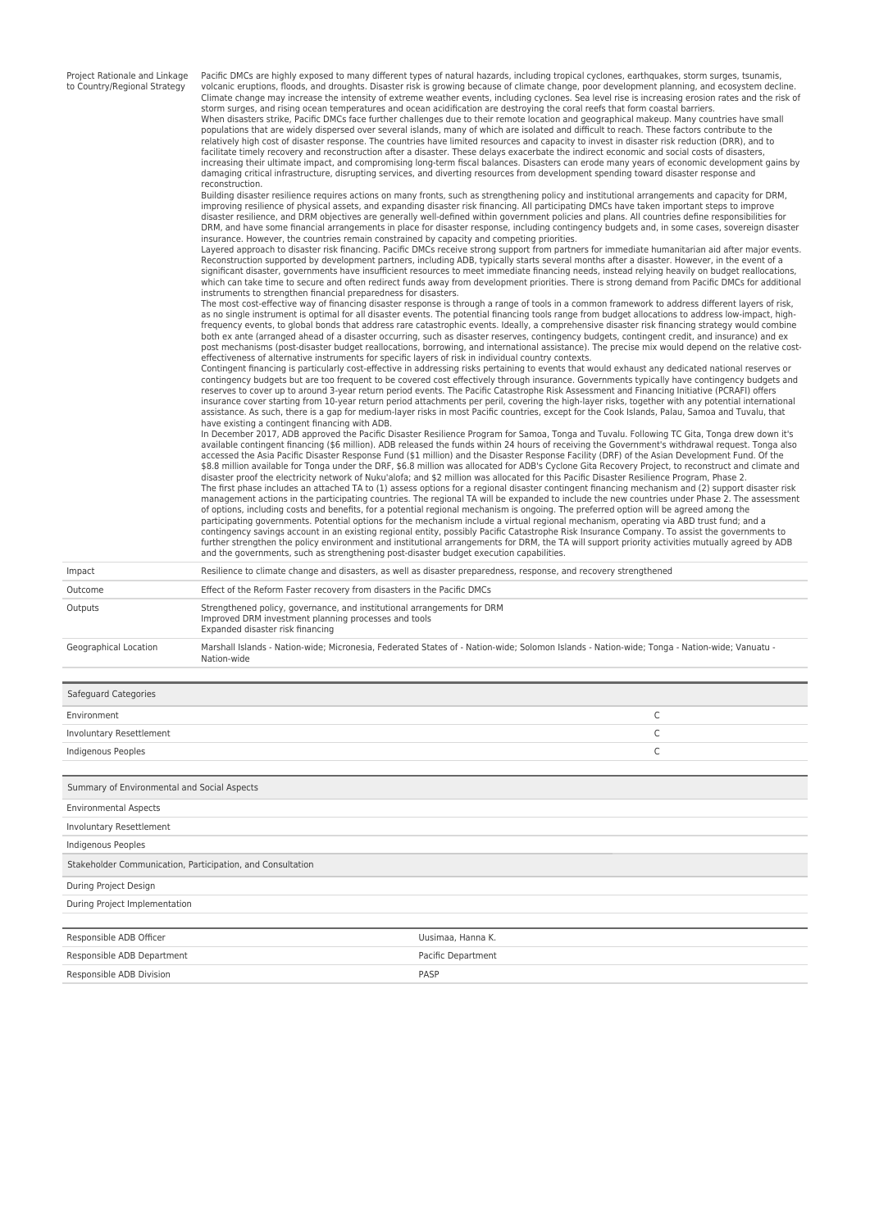| Project Rationale and Linkage<br>to Country/Regional Strategy | Pacific DMCs are highly exposed to many different types of natural hazards, including tropical cyclones, earthquakes, storm surges, tsunamis,<br>volcanic eruptions, floods, and droughts. Disaster risk is growing because of climate change, poor development planning, and ecosystem decline.<br>Climate change may increase the intensity of extreme weather events, including cyclones. Sea level rise is increasing erosion rates and the risk of<br>storm surges, and rising ocean temperatures and ocean acidification are destroying the coral reefs that form coastal barriers.<br>When disasters strike, Pacific DMCs face further challenges due to their remote location and geographical makeup. Many countries have small<br>populations that are widely dispersed over several islands, many of which are isolated and difficult to reach. These factors contribute to the<br>relatively high cost of disaster response. The countries have limited resources and capacity to invest in disaster risk reduction (DRR), and to<br>facilitate timely recovery and reconstruction after a disaster. These delays exacerbate the indirect economic and social costs of disasters,<br>increasing their ultimate impact, and compromising long-term fiscal balances. Disasters can erode many years of economic development gains by<br>damaging critical infrastructure, disrupting services, and diverting resources from development spending toward disaster response and<br>reconstruction.<br>Building disaster resilience requires actions on many fronts, such as strengthening policy and institutional arrangements and capacity for DRM,<br>improving resilience of physical assets, and expanding disaster risk financing. All participating DMCs have taken important steps to improve<br>disaster resilience, and DRM objectives are generally well-defined within government policies and plans. All countries define responsibilities for<br>DRM, and have some financial arrangements in place for disaster response, including contingency budgets and, in some cases, sovereign disaster<br>insurance. However, the countries remain constrained by capacity and competing priorities.<br>Layered approach to disaster risk financing. Pacific DMCs receive strong support from partners for immediate humanitarian aid after major events.<br>Reconstruction supported by development partners, including ADB, typically starts several months after a disaster. However, in the event of a<br>significant disaster, governments have insufficient resources to meet immediate financing needs, instead relying heavily on budget reallocations,<br>which can take time to secure and often redirect funds away from development priorities. There is strong demand from Pacific DMCs for additional<br>instruments to strengthen financial preparedness for disasters.<br>The most cost-effective way of financing disaster response is through a range of tools in a common framework to address different layers of risk,<br>as no single instrument is optimal for all disaster events. The potential financing tools range from budget allocations to address low-impact, high-<br>frequency events, to global bonds that address rare catastrophic events. Ideally, a comprehensive disaster risk financing strategy would combine<br>both ex ante (arranged ahead of a disaster occurring, such as disaster reserves, contingency budgets, contingent credit, and insurance) and ex<br>post mechanisms (post-disaster budget reallocations, borrowing, and international assistance). The precise mix would depend on the relative cost-<br>effectiveness of alternative instruments for specific layers of risk in individual country contexts.<br>Contingent financing is particularly cost-effective in addressing risks pertaining to events that would exhaust any dedicated national reserves or<br>contingency budgets but are too frequent to be covered cost effectively through insurance. Governments typically have contingency budgets and<br>reserves to cover up to around 3-year return period events. The Pacific Catastrophe Risk Assessment and Financing Initiative (PCRAFI) offers<br>insurance cover starting from 10-year return period attachments per peril, covering the high-layer risks, together with any potential international<br>assistance. As such, there is a gap for medium-layer risks in most Pacific countries, except for the Cook Islands, Palau, Samoa and Tuvalu, that<br>have existing a contingent financing with ADB.<br>In December 2017, ADB approved the Pacific Disaster Resilience Program for Samoa, Tonga and Tuvalu. Following TC Gita, Tonga drew down it's<br>available contingent financing (\$6 million). ADB released the funds within 24 hours of receiving the Government's withdrawal request. Tonga also<br>accessed the Asia Pacific Disaster Response Fund (\$1 million) and the Disaster Response Facility (DRF) of the Asian Development Fund. Of the<br>\$8.8 million available for Tonga under the DRF, \$6.8 million was allocated for ADB's Cyclone Gita Recovery Project, to reconstruct and climate and<br>disaster proof the electricity network of Nuku'alofa; and \$2 million was allocated for this Pacific Disaster Resilience Program, Phase 2.<br>The first phase includes an attached TA to (1) assess options for a regional disaster contingent financing mechanism and (2) support disaster risk<br>management actions in the participating countries. The regional TA will be expanded to include the new countries under Phase 2. The assessment<br>of options, including costs and benefits, for a potential regional mechanism is ongoing. The preferred option will be agreed among the<br>participating governments. Potential options for the mechanism include a virtual regional mechanism, operating via ABD trust fund; and a<br>contingency savings account in an existing regional entity, possibly Pacific Catastrophe Risk Insurance Company. To assist the governments to<br>further strengthen the policy environment and institutional arrangements for DRM, the TA will support priority activities mutually agreed by ADB<br>and the governments, such as strengthening post-disaster budget execution capabilities. |  |
|---------------------------------------------------------------|--------------------------------------------------------------------------------------------------------------------------------------------------------------------------------------------------------------------------------------------------------------------------------------------------------------------------------------------------------------------------------------------------------------------------------------------------------------------------------------------------------------------------------------------------------------------------------------------------------------------------------------------------------------------------------------------------------------------------------------------------------------------------------------------------------------------------------------------------------------------------------------------------------------------------------------------------------------------------------------------------------------------------------------------------------------------------------------------------------------------------------------------------------------------------------------------------------------------------------------------------------------------------------------------------------------------------------------------------------------------------------------------------------------------------------------------------------------------------------------------------------------------------------------------------------------------------------------------------------------------------------------------------------------------------------------------------------------------------------------------------------------------------------------------------------------------------------------------------------------------------------------------------------------------------------------------------------------------------------------------------------------------------------------------------------------------------------------------------------------------------------------------------------------------------------------------------------------------------------------------------------------------------------------------------------------------------------------------------------------------------------------------------------------------------------------------------------------------------------------------------------------------------------------------------------------------------------------------------------------------------------------------------------------------------------------------------------------------------------------------------------------------------------------------------------------------------------------------------------------------------------------------------------------------------------------------------------------------------------------------------------------------------------------------------------------------------------------------------------------------------------------------------------------------------------------------------------------------------------------------------------------------------------------------------------------------------------------------------------------------------------------------------------------------------------------------------------------------------------------------------------------------------------------------------------------------------------------------------------------------------------------------------------------------------------------------------------------------------------------------------------------------------------------------------------------------------------------------------------------------------------------------------------------------------------------------------------------------------------------------------------------------------------------------------------------------------------------------------------------------------------------------------------------------------------------------------------------------------------------------------------------------------------------------------------------------------------------------------------------------------------------------------------------------------------------------------------------------------------------------------------------------------------------------------------------------------------------------------------------------------------------------------------------------------------------------------------------------------------------------------------------------------------------------------------------------------------------------------------------------------------------------------------------------------------------------------------------------------------------------------------------------------------------------------------------------------------------------------------------------------------------------------------------------------------------------------------------------------------------------------------------------------------------------------------------------------------------------------------------------------------------------------------------------------------------------------------------------------------------------------------------------------------------------------------------------------------------------------------------------------------------------------------------------------------------------------------------------------------------------------------------------------------------------------------------------------------------------------------------------------------------------------------------------------------------------------------------------------------------------------------------------------------------------------------------------------------------------------------------------------------------------------------------------------------------------------------------------------------------------------------------------------------------------------------------------------------------------------------------------|--|
| Impact                                                        | Resilience to climate change and disasters, as well as disaster preparedness, response, and recovery strengthened                                                                                                                                                                                                                                                                                                                                                                                                                                                                                                                                                                                                                                                                                                                                                                                                                                                                                                                                                                                                                                                                                                                                                                                                                                                                                                                                                                                                                                                                                                                                                                                                                                                                                                                                                                                                                                                                                                                                                                                                                                                                                                                                                                                                                                                                                                                                                                                                                                                                                                                                                                                                                                                                                                                                                                                                                                                                                                                                                                                                                                                                                                                                                                                                                                                                                                                                                                                                                                                                                                                                                                                                                                                                                                                                                                                                                                                                                                                                                                                                                                                                                                                                                                                                                                                                                                                                                                                                                                                                                                                                                                                                                                                                                                                                                                                                                                                                                                                                                                                                                                                                                                                                                                                                                                                                                                                                                                                                                                                                                                                                                                                                                                                                                                                                                                                                                                                                                                                                                                                                                                                                                                                                                                                                                                                  |  |
| Outcome                                                       | Effect of the Reform Faster recovery from disasters in the Pacific DMCs                                                                                                                                                                                                                                                                                                                                                                                                                                                                                                                                                                                                                                                                                                                                                                                                                                                                                                                                                                                                                                                                                                                                                                                                                                                                                                                                                                                                                                                                                                                                                                                                                                                                                                                                                                                                                                                                                                                                                                                                                                                                                                                                                                                                                                                                                                                                                                                                                                                                                                                                                                                                                                                                                                                                                                                                                                                                                                                                                                                                                                                                                                                                                                                                                                                                                                                                                                                                                                                                                                                                                                                                                                                                                                                                                                                                                                                                                                                                                                                                                                                                                                                                                                                                                                                                                                                                                                                                                                                                                                                                                                                                                                                                                                                                                                                                                                                                                                                                                                                                                                                                                                                                                                                                                                                                                                                                                                                                                                                                                                                                                                                                                                                                                                                                                                                                                                                                                                                                                                                                                                                                                                                                                                                                                                                                                            |  |
| Outputs                                                       | Strengthened policy, governance, and institutional arrangements for DRM<br>Improved DRM investment planning processes and tools<br>Expanded disaster risk financing                                                                                                                                                                                                                                                                                                                                                                                                                                                                                                                                                                                                                                                                                                                                                                                                                                                                                                                                                                                                                                                                                                                                                                                                                                                                                                                                                                                                                                                                                                                                                                                                                                                                                                                                                                                                                                                                                                                                                                                                                                                                                                                                                                                                                                                                                                                                                                                                                                                                                                                                                                                                                                                                                                                                                                                                                                                                                                                                                                                                                                                                                                                                                                                                                                                                                                                                                                                                                                                                                                                                                                                                                                                                                                                                                                                                                                                                                                                                                                                                                                                                                                                                                                                                                                                                                                                                                                                                                                                                                                                                                                                                                                                                                                                                                                                                                                                                                                                                                                                                                                                                                                                                                                                                                                                                                                                                                                                                                                                                                                                                                                                                                                                                                                                                                                                                                                                                                                                                                                                                                                                                                                                                                                                                |  |
| Geographical Location                                         | Marshall Islands - Nation-wide; Micronesia, Federated States of - Nation-wide; Solomon Islands - Nation-wide; Tonga - Nation-wide; Vanuatu -<br>Nation-wide                                                                                                                                                                                                                                                                                                                                                                                                                                                                                                                                                                                                                                                                                                                                                                                                                                                                                                                                                                                                                                                                                                                                                                                                                                                                                                                                                                                                                                                                                                                                                                                                                                                                                                                                                                                                                                                                                                                                                                                                                                                                                                                                                                                                                                                                                                                                                                                                                                                                                                                                                                                                                                                                                                                                                                                                                                                                                                                                                                                                                                                                                                                                                                                                                                                                                                                                                                                                                                                                                                                                                                                                                                                                                                                                                                                                                                                                                                                                                                                                                                                                                                                                                                                                                                                                                                                                                                                                                                                                                                                                                                                                                                                                                                                                                                                                                                                                                                                                                                                                                                                                                                                                                                                                                                                                                                                                                                                                                                                                                                                                                                                                                                                                                                                                                                                                                                                                                                                                                                                                                                                                                                                                                                                                        |  |
| <b>Safeguard Categories</b>                                   |                                                                                                                                                                                                                                                                                                                                                                                                                                                                                                                                                                                                                                                                                                                                                                                                                                                                                                                                                                                                                                                                                                                                                                                                                                                                                                                                                                                                                                                                                                                                                                                                                                                                                                                                                                                                                                                                                                                                                                                                                                                                                                                                                                                                                                                                                                                                                                                                                                                                                                                                                                                                                                                                                                                                                                                                                                                                                                                                                                                                                                                                                                                                                                                                                                                                                                                                                                                                                                                                                                                                                                                                                                                                                                                                                                                                                                                                                                                                                                                                                                                                                                                                                                                                                                                                                                                                                                                                                                                                                                                                                                                                                                                                                                                                                                                                                                                                                                                                                                                                                                                                                                                                                                                                                                                                                                                                                                                                                                                                                                                                                                                                                                                                                                                                                                                                                                                                                                                                                                                                                                                                                                                                                                                                                                                                                                                                                                    |  |
| Environment                                                   | C                                                                                                                                                                                                                                                                                                                                                                                                                                                                                                                                                                                                                                                                                                                                                                                                                                                                                                                                                                                                                                                                                                                                                                                                                                                                                                                                                                                                                                                                                                                                                                                                                                                                                                                                                                                                                                                                                                                                                                                                                                                                                                                                                                                                                                                                                                                                                                                                                                                                                                                                                                                                                                                                                                                                                                                                                                                                                                                                                                                                                                                                                                                                                                                                                                                                                                                                                                                                                                                                                                                                                                                                                                                                                                                                                                                                                                                                                                                                                                                                                                                                                                                                                                                                                                                                                                                                                                                                                                                                                                                                                                                                                                                                                                                                                                                                                                                                                                                                                                                                                                                                                                                                                                                                                                                                                                                                                                                                                                                                                                                                                                                                                                                                                                                                                                                                                                                                                                                                                                                                                                                                                                                                                                                                                                                                                                                                                                  |  |
| Involuntary Resettlement                                      | С                                                                                                                                                                                                                                                                                                                                                                                                                                                                                                                                                                                                                                                                                                                                                                                                                                                                                                                                                                                                                                                                                                                                                                                                                                                                                                                                                                                                                                                                                                                                                                                                                                                                                                                                                                                                                                                                                                                                                                                                                                                                                                                                                                                                                                                                                                                                                                                                                                                                                                                                                                                                                                                                                                                                                                                                                                                                                                                                                                                                                                                                                                                                                                                                                                                                                                                                                                                                                                                                                                                                                                                                                                                                                                                                                                                                                                                                                                                                                                                                                                                                                                                                                                                                                                                                                                                                                                                                                                                                                                                                                                                                                                                                                                                                                                                                                                                                                                                                                                                                                                                                                                                                                                                                                                                                                                                                                                                                                                                                                                                                                                                                                                                                                                                                                                                                                                                                                                                                                                                                                                                                                                                                                                                                                                                                                                                                                                  |  |
| Indigenous Peoples                                            | C                                                                                                                                                                                                                                                                                                                                                                                                                                                                                                                                                                                                                                                                                                                                                                                                                                                                                                                                                                                                                                                                                                                                                                                                                                                                                                                                                                                                                                                                                                                                                                                                                                                                                                                                                                                                                                                                                                                                                                                                                                                                                                                                                                                                                                                                                                                                                                                                                                                                                                                                                                                                                                                                                                                                                                                                                                                                                                                                                                                                                                                                                                                                                                                                                                                                                                                                                                                                                                                                                                                                                                                                                                                                                                                                                                                                                                                                                                                                                                                                                                                                                                                                                                                                                                                                                                                                                                                                                                                                                                                                                                                                                                                                                                                                                                                                                                                                                                                                                                                                                                                                                                                                                                                                                                                                                                                                                                                                                                                                                                                                                                                                                                                                                                                                                                                                                                                                                                                                                                                                                                                                                                                                                                                                                                                                                                                                                                  |  |
| Summary of Environmental and Social Aspects                   |                                                                                                                                                                                                                                                                                                                                                                                                                                                                                                                                                                                                                                                                                                                                                                                                                                                                                                                                                                                                                                                                                                                                                                                                                                                                                                                                                                                                                                                                                                                                                                                                                                                                                                                                                                                                                                                                                                                                                                                                                                                                                                                                                                                                                                                                                                                                                                                                                                                                                                                                                                                                                                                                                                                                                                                                                                                                                                                                                                                                                                                                                                                                                                                                                                                                                                                                                                                                                                                                                                                                                                                                                                                                                                                                                                                                                                                                                                                                                                                                                                                                                                                                                                                                                                                                                                                                                                                                                                                                                                                                                                                                                                                                                                                                                                                                                                                                                                                                                                                                                                                                                                                                                                                                                                                                                                                                                                                                                                                                                                                                                                                                                                                                                                                                                                                                                                                                                                                                                                                                                                                                                                                                                                                                                                                                                                                                                                    |  |
| <b>Environmental Aspects</b>                                  |                                                                                                                                                                                                                                                                                                                                                                                                                                                                                                                                                                                                                                                                                                                                                                                                                                                                                                                                                                                                                                                                                                                                                                                                                                                                                                                                                                                                                                                                                                                                                                                                                                                                                                                                                                                                                                                                                                                                                                                                                                                                                                                                                                                                                                                                                                                                                                                                                                                                                                                                                                                                                                                                                                                                                                                                                                                                                                                                                                                                                                                                                                                                                                                                                                                                                                                                                                                                                                                                                                                                                                                                                                                                                                                                                                                                                                                                                                                                                                                                                                                                                                                                                                                                                                                                                                                                                                                                                                                                                                                                                                                                                                                                                                                                                                                                                                                                                                                                                                                                                                                                                                                                                                                                                                                                                                                                                                                                                                                                                                                                                                                                                                                                                                                                                                                                                                                                                                                                                                                                                                                                                                                                                                                                                                                                                                                                                                    |  |
| Involuntary Resettlement                                      |                                                                                                                                                                                                                                                                                                                                                                                                                                                                                                                                                                                                                                                                                                                                                                                                                                                                                                                                                                                                                                                                                                                                                                                                                                                                                                                                                                                                                                                                                                                                                                                                                                                                                                                                                                                                                                                                                                                                                                                                                                                                                                                                                                                                                                                                                                                                                                                                                                                                                                                                                                                                                                                                                                                                                                                                                                                                                                                                                                                                                                                                                                                                                                                                                                                                                                                                                                                                                                                                                                                                                                                                                                                                                                                                                                                                                                                                                                                                                                                                                                                                                                                                                                                                                                                                                                                                                                                                                                                                                                                                                                                                                                                                                                                                                                                                                                                                                                                                                                                                                                                                                                                                                                                                                                                                                                                                                                                                                                                                                                                                                                                                                                                                                                                                                                                                                                                                                                                                                                                                                                                                                                                                                                                                                                                                                                                                                                    |  |
| Indigenous Peoples                                            |                                                                                                                                                                                                                                                                                                                                                                                                                                                                                                                                                                                                                                                                                                                                                                                                                                                                                                                                                                                                                                                                                                                                                                                                                                                                                                                                                                                                                                                                                                                                                                                                                                                                                                                                                                                                                                                                                                                                                                                                                                                                                                                                                                                                                                                                                                                                                                                                                                                                                                                                                                                                                                                                                                                                                                                                                                                                                                                                                                                                                                                                                                                                                                                                                                                                                                                                                                                                                                                                                                                                                                                                                                                                                                                                                                                                                                                                                                                                                                                                                                                                                                                                                                                                                                                                                                                                                                                                                                                                                                                                                                                                                                                                                                                                                                                                                                                                                                                                                                                                                                                                                                                                                                                                                                                                                                                                                                                                                                                                                                                                                                                                                                                                                                                                                                                                                                                                                                                                                                                                                                                                                                                                                                                                                                                                                                                                                                    |  |
| Stakeholder Communication, Participation, and Consultation    |                                                                                                                                                                                                                                                                                                                                                                                                                                                                                                                                                                                                                                                                                                                                                                                                                                                                                                                                                                                                                                                                                                                                                                                                                                                                                                                                                                                                                                                                                                                                                                                                                                                                                                                                                                                                                                                                                                                                                                                                                                                                                                                                                                                                                                                                                                                                                                                                                                                                                                                                                                                                                                                                                                                                                                                                                                                                                                                                                                                                                                                                                                                                                                                                                                                                                                                                                                                                                                                                                                                                                                                                                                                                                                                                                                                                                                                                                                                                                                                                                                                                                                                                                                                                                                                                                                                                                                                                                                                                                                                                                                                                                                                                                                                                                                                                                                                                                                                                                                                                                                                                                                                                                                                                                                                                                                                                                                                                                                                                                                                                                                                                                                                                                                                                                                                                                                                                                                                                                                                                                                                                                                                                                                                                                                                                                                                                                                    |  |
| During Project Design                                         |                                                                                                                                                                                                                                                                                                                                                                                                                                                                                                                                                                                                                                                                                                                                                                                                                                                                                                                                                                                                                                                                                                                                                                                                                                                                                                                                                                                                                                                                                                                                                                                                                                                                                                                                                                                                                                                                                                                                                                                                                                                                                                                                                                                                                                                                                                                                                                                                                                                                                                                                                                                                                                                                                                                                                                                                                                                                                                                                                                                                                                                                                                                                                                                                                                                                                                                                                                                                                                                                                                                                                                                                                                                                                                                                                                                                                                                                                                                                                                                                                                                                                                                                                                                                                                                                                                                                                                                                                                                                                                                                                                                                                                                                                                                                                                                                                                                                                                                                                                                                                                                                                                                                                                                                                                                                                                                                                                                                                                                                                                                                                                                                                                                                                                                                                                                                                                                                                                                                                                                                                                                                                                                                                                                                                                                                                                                                                                    |  |
| During Project Implementation                                 |                                                                                                                                                                                                                                                                                                                                                                                                                                                                                                                                                                                                                                                                                                                                                                                                                                                                                                                                                                                                                                                                                                                                                                                                                                                                                                                                                                                                                                                                                                                                                                                                                                                                                                                                                                                                                                                                                                                                                                                                                                                                                                                                                                                                                                                                                                                                                                                                                                                                                                                                                                                                                                                                                                                                                                                                                                                                                                                                                                                                                                                                                                                                                                                                                                                                                                                                                                                                                                                                                                                                                                                                                                                                                                                                                                                                                                                                                                                                                                                                                                                                                                                                                                                                                                                                                                                                                                                                                                                                                                                                                                                                                                                                                                                                                                                                                                                                                                                                                                                                                                                                                                                                                                                                                                                                                                                                                                                                                                                                                                                                                                                                                                                                                                                                                                                                                                                                                                                                                                                                                                                                                                                                                                                                                                                                                                                                                                    |  |
| Responsible ADB Officer                                       | Uusimaa, Hanna K.                                                                                                                                                                                                                                                                                                                                                                                                                                                                                                                                                                                                                                                                                                                                                                                                                                                                                                                                                                                                                                                                                                                                                                                                                                                                                                                                                                                                                                                                                                                                                                                                                                                                                                                                                                                                                                                                                                                                                                                                                                                                                                                                                                                                                                                                                                                                                                                                                                                                                                                                                                                                                                                                                                                                                                                                                                                                                                                                                                                                                                                                                                                                                                                                                                                                                                                                                                                                                                                                                                                                                                                                                                                                                                                                                                                                                                                                                                                                                                                                                                                                                                                                                                                                                                                                                                                                                                                                                                                                                                                                                                                                                                                                                                                                                                                                                                                                                                                                                                                                                                                                                                                                                                                                                                                                                                                                                                                                                                                                                                                                                                                                                                                                                                                                                                                                                                                                                                                                                                                                                                                                                                                                                                                                                                                                                                                                                  |  |
| Responsible ADB Department                                    | Pacific Department                                                                                                                                                                                                                                                                                                                                                                                                                                                                                                                                                                                                                                                                                                                                                                                                                                                                                                                                                                                                                                                                                                                                                                                                                                                                                                                                                                                                                                                                                                                                                                                                                                                                                                                                                                                                                                                                                                                                                                                                                                                                                                                                                                                                                                                                                                                                                                                                                                                                                                                                                                                                                                                                                                                                                                                                                                                                                                                                                                                                                                                                                                                                                                                                                                                                                                                                                                                                                                                                                                                                                                                                                                                                                                                                                                                                                                                                                                                                                                                                                                                                                                                                                                                                                                                                                                                                                                                                                                                                                                                                                                                                                                                                                                                                                                                                                                                                                                                                                                                                                                                                                                                                                                                                                                                                                                                                                                                                                                                                                                                                                                                                                                                                                                                                                                                                                                                                                                                                                                                                                                                                                                                                                                                                                                                                                                                                                 |  |
| Responsible ADB Division<br>PASP                              |                                                                                                                                                                                                                                                                                                                                                                                                                                                                                                                                                                                                                                                                                                                                                                                                                                                                                                                                                                                                                                                                                                                                                                                                                                                                                                                                                                                                                                                                                                                                                                                                                                                                                                                                                                                                                                                                                                                                                                                                                                                                                                                                                                                                                                                                                                                                                                                                                                                                                                                                                                                                                                                                                                                                                                                                                                                                                                                                                                                                                                                                                                                                                                                                                                                                                                                                                                                                                                                                                                                                                                                                                                                                                                                                                                                                                                                                                                                                                                                                                                                                                                                                                                                                                                                                                                                                                                                                                                                                                                                                                                                                                                                                                                                                                                                                                                                                                                                                                                                                                                                                                                                                                                                                                                                                                                                                                                                                                                                                                                                                                                                                                                                                                                                                                                                                                                                                                                                                                                                                                                                                                                                                                                                                                                                                                                                                                                    |  |